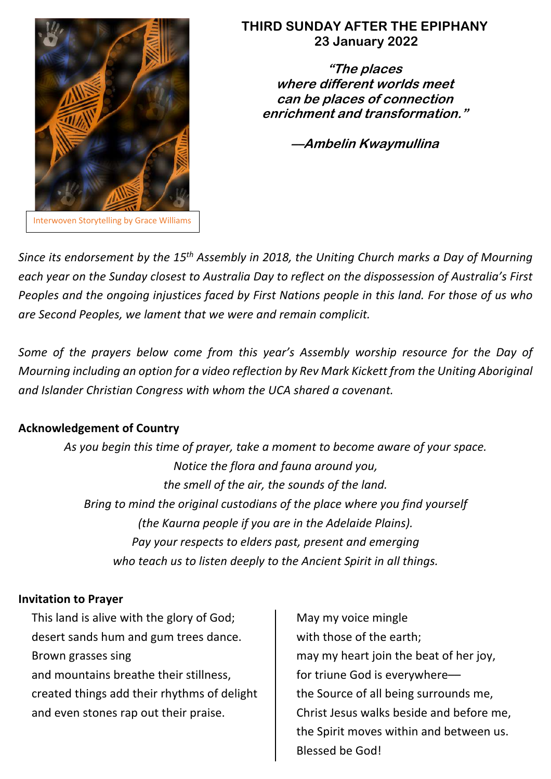

# **THIRD SUNDAY AFTER THE EPIPHANY 23 January 2022**

**"The places where different worlds meet can be places of connection enrichment and transformation."**

**––Ambelin Kwaymullina**

*Since its endorsement by the 15th Assembly in 2018, the Uniting Church marks a Day of Mourning each year on the Sunday closest to Australia Day to reflect on the dispossession of Australia's First Peoples and the ongoing injustices faced by First Nations people in this land. For those of us who are Second Peoples, we lament that we were and remain complicit.*

*Some of the prayers below come from this year's Assembly worship resource for the Day of Mourning including an option for a video reflection by Rev Mark Kickett from the Uniting Aboriginal and Islander Christian Congress with whom the UCA shared a covenant.*

# **Acknowledgement of Country**

*As you begin this time of prayer, take a moment to become aware of your space. Notice the flora and fauna around you, the smell of the air, the sounds of the land. Bring to mind the original custodians of the place where you find yourself (the Kaurna people if you are in the Adelaide Plains). Pay your respects to elders past, present and emerging who teach us to listen deeply to the Ancient Spirit in all things.*

## **Invitation to Prayer**

This land is alive with the glory of God; desert sands hum and gum trees dance. Brown grasses sing and mountains breathe their stillness, created things add their rhythms of delight and even stones rap out their praise.

May my voice mingle with those of the earth; may my heart join the beat of her joy, for triune God is everywhere–– the Source of all being surrounds me, Christ Jesus walks beside and before me, the Spirit moves within and between us. Blessed be God!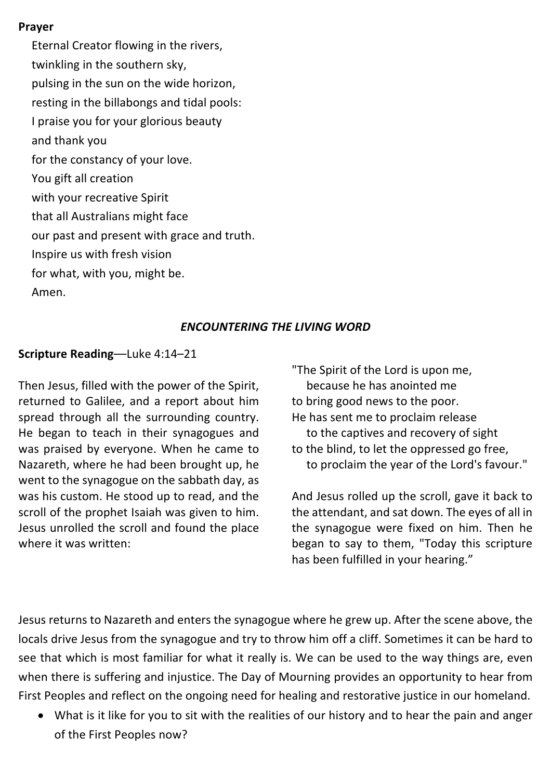#### **Prayer**

Eternal Creator flowing in the rivers, twinkling in the southern sky, pulsing in the sun on the wide horizon, resting in the billabongs and tidal pools: I praise you for your glorious beauty and thank you for the constancy of your love. You gift all creation with your recreative Spirit that all Australians might face our past and present with grace and truth. Inspire us with fresh vision for what, with you, might be. Amen.

## *ENCOUNTERING THE LIVING WORD*

### **Scripture Reading**––Luke 4:14–21

Then Jesus, filled with the power of the Spirit, returned to Galilee, and a report about him spread through all the surrounding country. He began to teach in their synagogues and was praised by everyone. When he came to Nazareth, where he had been brought up, he went to the synagogue on the sabbath day, as was his custom. He stood up to read, and the scroll of the prophet Isaiah was given to him. Jesus unrolled the scroll and found the place where it was written:

"The Spirit of the Lord is upon me, because he has anointed me to bring good news to the poor. He has sent me to proclaim release to the captives and recovery of sight to the blind, to let the oppressed go free, to proclaim the year of the Lord's favour."

And Jesus rolled up the scroll, gave it back to the attendant, and sat down. The eyes of all in the synagogue were fixed on him. Then he began to say to them, "Today this scripture has been fulfilled in your hearing."

Jesus returns to Nazareth and enters the synagogue where he grew up. After the scene above, the locals drive Jesus from the synagogue and try to throw him off a cliff. Sometimes it can be hard to see that which is most familiar for what it really is. We can be used to the way things are, even when there is suffering and injustice. The Day of Mourning provides an opportunity to hear from First Peoples and reflect on the ongoing need for healing and restorative justice in our homeland.

• What is it like for you to sit with the realities of our history and to hear the pain and anger of the First Peoples now?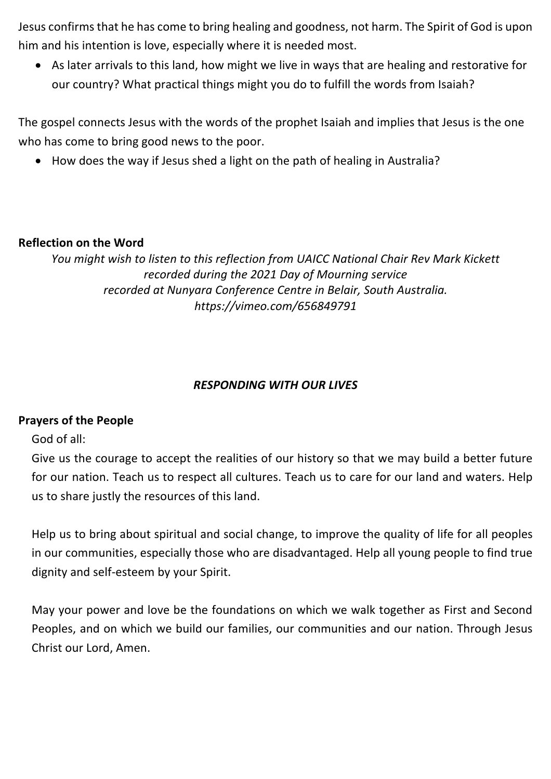Jesus confirms that he has come to bring healing and goodness, not harm. The Spirit of God is upon him and his intention is love, especially where it is needed most.

• As later arrivals to this land, how might we live in ways that are healing and restorative for our country? What practical things might you do to fulfill the words from Isaiah?

The gospel connects Jesus with the words of the prophet Isaiah and implies that Jesus is the one who has come to bring good news to the poor.

• How does the way if Jesus shed a light on the path of healing in Australia?

# **Reflection on the Word**

*You might wish to listen to this reflection from UAICC National Chair Rev Mark Kickett recorded during the 2021 Day of Mourning service recorded at Nunyara Conference Centre in Belair, South Australia. https://vimeo.com/656849791*

# *RESPONDING WITH OUR LIVES*

## **Prayers of the People**

God of all:

Give us the courage to accept the realities of our history so that we may build a better future for our nation. Teach us to respect all cultures. Teach us to care for our land and waters. Help us to share justly the resources of this land.

Help us to bring about spiritual and social change, to improve the quality of life for all peoples in our communities, especially those who are disadvantaged. Help all young people to find true dignity and self-esteem by your Spirit.

May your power and love be the foundations on which we walk together as First and Second Peoples, and on which we build our families, our communities and our nation. Through Jesus Christ our Lord, Amen.